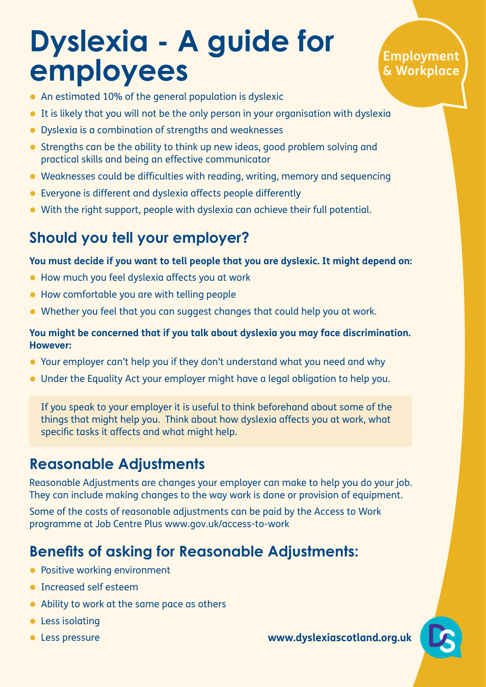# **Dyslexia - A guide for employees**

### **Employment & Workplace**

- An estimated 10% of the general population is dyslexic
- It is likely that you will not be the only person in your organisation with dyslexia
- Dyslexia is a combination of strengths and weaknesses
- Strengths can be the ability to think up new ideas, good problem solving and practical skills and being an effective communicator
- Weaknesses could be difficulties with reading, writing, memory and sequencing
- Everyone is different and dyslexia affects people differently
- With the right support, people with dyslexia can achieve their full potential.

## **Should you tell your employer?**

#### **You must decide if you want to tell people that you are dyslexic. It might depend on:**

- How much you feel dyslexia affects you at work
- How comfortable you are with telling people
- Whether you feel that you can suggest changes that could help you at work.

#### **You might be concerned that if you talk about dyslexia you may face discrimination. However:**

- Your employer can't help you if they don't understand what you need and why
- Under the Equality Act your employer might have a legal obligation to help you.

If you speak to your employer it is useful to think beforehand about some of the things that might help you. Think about how dyslexia affects you at work, what specific tasks it affects and what might help.

## **Reasonable Adjustments**

Reasonable Adjustments are changes your employer can make to help you do your job. They can include making changes to the way work is done or provision of equipment.

Some of the costs of reasonable adjustments can be paid by the Access to Work programme at Job Centre Plus www.gov.uk/access-to-work

## **Benefits of asking for Reasonable Adjustments:**

- Positive working environment
- Increased self esteem
- Ability to work at the same pace as others
- Less isolating
- 

• Less pressure **www.dyslexiascotland.org.uk**